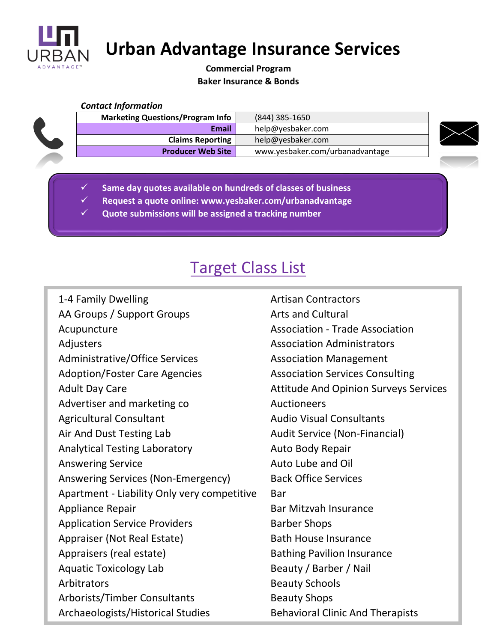

 **Urban Advantage Insurance Services**

# **Commercial Program Baker Insurance & Bonds**

### *Contact Information*

| <b>Marketing Questions/Program Info</b> | $(844)$ 385-1650                |  |
|-----------------------------------------|---------------------------------|--|
| <b>Email</b>                            | help@yesbaker.com               |  |
| <b>Claims Reporting</b>                 | help@yesbaker.com               |  |
| <b>Producer Web Site</b>                | www.yesbaker.com/urbanadvantage |  |

- ✓ **Same day quotes available on hundreds of classes of business**
- ✓ **Request a quote online: www.yesbaker.com/urbanadvantage**
- ✓ **Quote submissions will be assigned a tracking number**

# Target Class List

| 1-4 Family Dwelling                         | <b>Artisan Contractors</b>                   |
|---------------------------------------------|----------------------------------------------|
| AA Groups / Support Groups                  | <b>Arts and Cultural</b>                     |
| Acupuncture                                 | <b>Association - Trade Association</b>       |
| Adjusters                                   | <b>Association Administrators</b>            |
| Administrative/Office Services              | <b>Association Management</b>                |
| <b>Adoption/Foster Care Agencies</b>        | <b>Association Services Consulting</b>       |
| <b>Adult Day Care</b>                       | <b>Attitude And Opinion Surveys Services</b> |
| Advertiser and marketing co                 | Auctioneers                                  |
| <b>Agricultural Consultant</b>              | <b>Audio Visual Consultants</b>              |
| Air And Dust Testing Lab                    | Audit Service (Non-Financial)                |
| <b>Analytical Testing Laboratory</b>        | Auto Body Repair                             |
| <b>Answering Service</b>                    | Auto Lube and Oil                            |
| Answering Services (Non-Emergency)          | <b>Back Office Services</b>                  |
| Apartment - Liability Only very competitive | <b>Bar</b>                                   |
| Appliance Repair                            | <b>Bar Mitzvah Insurance</b>                 |
| <b>Application Service Providers</b>        | <b>Barber Shops</b>                          |
| Appraiser (Not Real Estate)                 | <b>Bath House Insurance</b>                  |
| Appraisers (real estate)                    | <b>Bathing Pavilion Insurance</b>            |
| <b>Aquatic Toxicology Lab</b>               | Beauty / Barber / Nail                       |
| Arbitrators                                 | <b>Beauty Schools</b>                        |
| Arborists/Timber Consultants                | <b>Beauty Shops</b>                          |
| Archaeologists/Historical Studies           | <b>Behavioral Clinic And Therapists</b>      |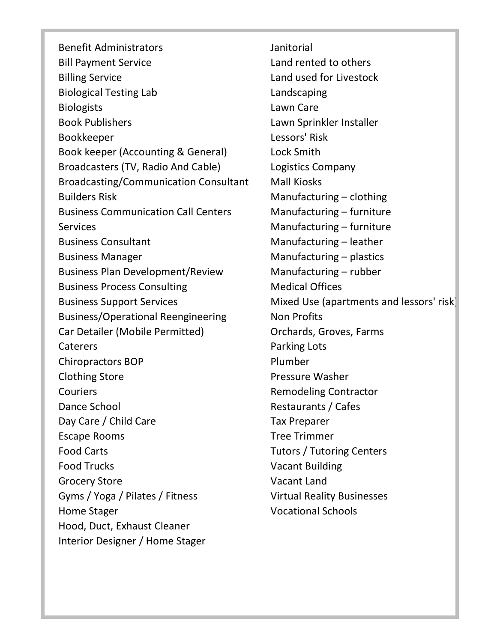Benefit Administrators Bill Payment Service Billing Service Biological Testing Lab **Biologists** Book Publishers Bookkeeper Book keeper (Accounting & General) Broadcasters (TV, Radio And Cable) Broadcasting/Communication Consultant Builders Risk Business Communication Call Centers Services Business Consultant Business Manager Business Plan Development/Review Business Process Consulting Business Support Services Business/Operational Reengineering Car Detailer (Mobile Permitted) Caterers Chiropractors BOP Clothing Store **Couriers** Dance School Day Care / Child Care Escape Rooms Food Carts Food Trucks Grocery Store Gyms / Yoga / Pilates / Fitness Home Stager Hood, Duct, Exhaust Cleaner Interior Designer / Home Stager

Janitorial Land rented to others Land used for Livestock Landscaping Lawn Care Lawn Sprinkler Installer Lessors' Risk Lock Smith Logistics Company Mall Kiosks Manufacturing – clothing Manufacturing – furniture Manufacturing – furniture Manufacturing – leather Manufacturing – plastics Manufacturing – rubber Medical Offices Mixed Use (apartments and lessors' risk) Non Profits Orchards, Groves, Farms Parking Lots Plumber Pressure Washer Remodeling Contractor Restaurants / Cafes Tax Preparer Tree Trimmer Tutors / Tutoring Centers Vacant Building Vacant Land Virtual Reality Businesses Vocational Schools